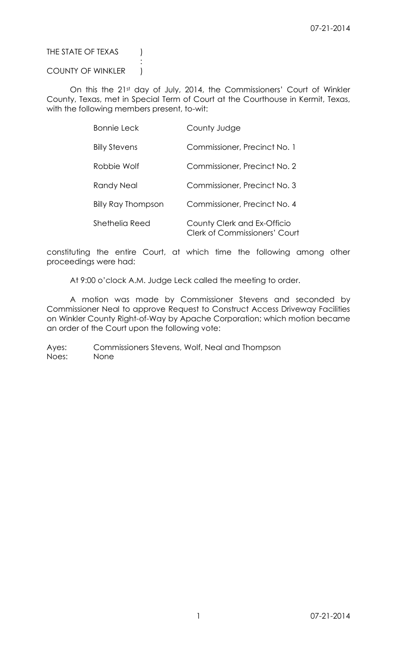## THE STATE OF TEXAS (

## COUNTY OF WINKLER |

:

On this the 21st day of July, 2014, the Commissioners' Court of Winkler County, Texas, met in Special Term of Court at the Courthouse in Kermit, Texas, with the following members present, to-wit:

| <b>Bonnie Leck</b>        | County Judge                                                        |
|---------------------------|---------------------------------------------------------------------|
| <b>Billy Stevens</b>      | Commissioner, Precinct No. 1                                        |
| Robbie Wolf               | Commissioner, Precinct No. 2                                        |
| Randy Neal                | Commissioner, Precinct No. 3                                        |
| <b>Billy Ray Thompson</b> | Commissioner, Precinct No. 4                                        |
| Shethelia Reed            | County Clerk and Ex-Officio<br><b>Clerk of Commissioners' Court</b> |

constituting the entire Court, at which time the following among other proceedings were had:

At 9:00 o'clock A.M. Judge Leck called the meeting to order.

A motion was made by Commissioner Stevens and seconded by Commissioner Neal to approve Request to Construct Access Driveway Facilities on Winkler County Right-of-Way by Apache Corporation; which motion became an order of the Court upon the following vote:

Ayes: Commissioners Stevens, Wolf, Neal and Thompson Noes: None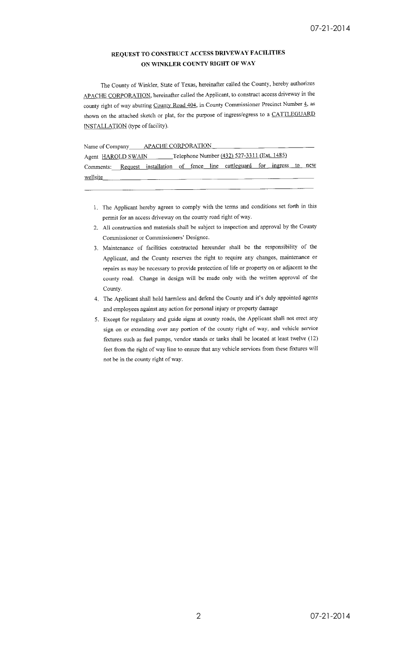## REQUEST TO CONSTRUCT ACCESS DRIVEWAY FACILITIES ON WINKLER COUNTY RIGHT OF WAY

The County of Winkler, State of Texas, hereinafter called the County, hereby authorizes APACHE CORPORATION, hereinafter called the Applicant, to construct access driveway in the county right of way abutting County Road 404, in County Commissioner Precinct Number 4, as shown on the attached sketch or plat, for the purpose of ingress/egress to a CATTLEGUARD INSTALLATION (type of facility).

| Name of Company APACHE CORPORATION                                |  |  |  |  |  |                                                               |  |  |  |     |
|-------------------------------------------------------------------|--|--|--|--|--|---------------------------------------------------------------|--|--|--|-----|
| Telephone Number (432) 527-3311 (Ext. 1485)<br>Agent HAROLD SWAIN |  |  |  |  |  |                                                               |  |  |  |     |
| Comments:                                                         |  |  |  |  |  | Request installation of fence line cattleguard for ingress to |  |  |  | new |
| wellsite                                                          |  |  |  |  |  |                                                               |  |  |  |     |

- 1. The Applicant hereby agrees to comply with the terms and conditions set forth in this permit for an access driveway on the county road right of way.
- 2. All construction and materials shall be subject to inspection and approval by the County Commissioner or Commissioners' Designee.
- 3. Maintenance of facilities constructed hereunder shall be the responsibility of the Applicant, and the County reserves the right to require any changes, maintenance or repairs as may be necessary to provide protection of life or property on or adjacent to the county road. Change in design will be made only with the written approval of the County.
- 4. The Applicant shall hold harmless and defend the County and it's duly appointed agents and employees against any action for personal injury or property damage
- 5. Except for regulatory and guide signs at county roads, the Applicant shall not erect any sign on or extending over any portion of the county right of way, and vehicle service fixtures such as fuel pumps, vendor stands or tanks shall be located at least twelve (12) feet from the right of way line to ensure that any vehicle services from these fixtures will not be in the county right of way.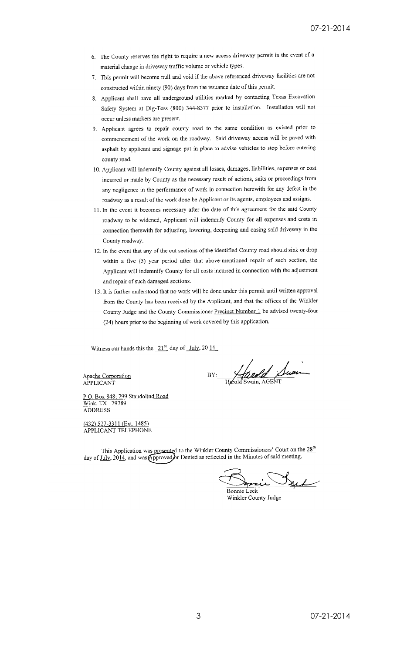- 6. The County reserves the right to require a new access driveway permit in the event of a material change in driveway traffic volume or vehicle types.
- 7. This permit will become null and void if the above referenced driveway facilities are not constructed within ninety (90) days from the issuance date of this permit.
- 8. Applicant shall have all underground utilities marked by contacting Texas Excavation Safety System at Dig-Tess (800) 344-8377 prior to installation. Installation will not occur unless markers are present.
- 9. Applicant agrees to repair county road to the same condition as existed prior to commencement of the work on the roadway. Said driveway access will be paved with asphalt by applicant and signage put in place to advise vehicles to stop before entering county road.
- 10. Applicant will indemnify County against all losses, damages, liabilities, expenses or cost incurred or made by County as the necessary result of actions, suits or proceedings from any negligence in the performance of work in connection herewith for any defect in the roadway as a result of the work done be Applicant or its agents, employees and assigns.
- 11. In the event it becomes necessary after the date of this agreement for the said County roadway to be widened, Applicant will indemnify County for all expenses and costs in connection therewith for adjusting, lowering, deepening and casing said driveway in the County roadway.
- 12. In the event that any of the cut sections of the identified County road should sink or drop within a five (5) year period after that above-mentioned repair of such section, the Applicant will indemnify County for all costs incurred in connection with the adjustment and repair of such damaged sections.
- 13. It is further understood that no work will be done under this permit until written approval from the County has been received by the Applicant, and that the offices of the Winkler County Judge and the County Commissioner Precinct Number 1 be advised twenty-four (24) hours prior to the beginning of work covered by this application.

Witness our hands this the  $21<sup>st</sup>$  day of July, 20 14.

**Apache Corporation** APPLICANT

Harold Swain

P.O. Box 848; 299 Standolind Road Wink, TX 79789 **ADDRESS** 

(432) 527-3311 (Ext. 1485) APPLICANT TELEPHONE

This Application was presented to the Winkler County Commissioners' Court on the  $28<sup>th</sup>$ day of July, 2014, and was Approved or Denied as reflected in the Minutes of said meeting.

Bonnie Leck Winkler County Judge